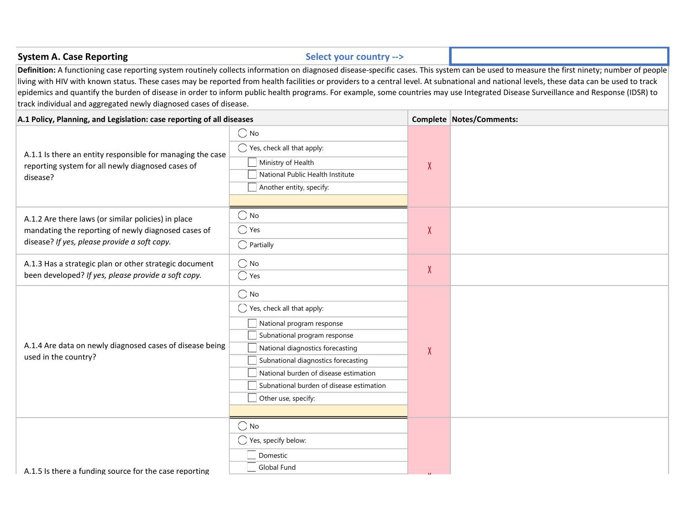| <b>System A. Case Reporting</b>                                                                                                                                                                                                                                                                                                                                                                                                                       | Select your country -->                                                                                                                                                                                                                                                                           |              |                                                                                                                                                                                           |
|-------------------------------------------------------------------------------------------------------------------------------------------------------------------------------------------------------------------------------------------------------------------------------------------------------------------------------------------------------------------------------------------------------------------------------------------------------|---------------------------------------------------------------------------------------------------------------------------------------------------------------------------------------------------------------------------------------------------------------------------------------------------|--------------|-------------------------------------------------------------------------------------------------------------------------------------------------------------------------------------------|
| living with HIV with known status. These cases may be reported from health facilities or providers to a central level. At subnational and national levels, these data can be used to track<br>epidemics and quantify the burden of disease in order to inform public health programs. For example, some countries may use Integrated Disease Surveillance and Response (IDSR) to<br>track individual and aggregated newly diagnosed cases of disease. |                                                                                                                                                                                                                                                                                                   |              | Definition: A functioning case reporting system routinely collects information on diagnosed disease-specific cases. This system can be used to measure the first ninety; number of people |
| A.1 Policy, Planning, and Legislation: case reporting of all diseases                                                                                                                                                                                                                                                                                                                                                                                 |                                                                                                                                                                                                                                                                                                   |              | Complete Notes/Comments:                                                                                                                                                                  |
| A.1.1 Is there an entity responsible for managing the case<br>reporting system for all newly diagnosed cases of<br>disease?                                                                                                                                                                                                                                                                                                                           | $\bigcirc$ No<br>$\bigcirc$ Yes, check all that apply:<br>Ministry of Health<br>National Public Health Institute<br>Another entity, specify:                                                                                                                                                      | $\chi$       |                                                                                                                                                                                           |
| A.1.2 Are there laws (or similar policies) in place<br>mandating the reporting of newly diagnosed cases of<br>disease? If yes, please provide a soft copy.                                                                                                                                                                                                                                                                                            | $\bigcirc$ No<br>$\bigcirc$ Yes<br>$\bigcap$ Partially                                                                                                                                                                                                                                            | $\pmb{\chi}$ |                                                                                                                                                                                           |
| A.1.3 Has a strategic plan or other strategic document<br>been developed? If yes, please provide a soft copy.                                                                                                                                                                                                                                                                                                                                         | $\bigcirc$ No<br>$\bigcirc$ Yes                                                                                                                                                                                                                                                                   | $\chi$       |                                                                                                                                                                                           |
| A.1.4 Are data on newly diagnosed cases of disease being<br>used in the country?                                                                                                                                                                                                                                                                                                                                                                      | $\bigcirc$ No<br>◯ Yes, check all that apply:<br>National program response<br>Subnational program response<br>National diagnostics forecasting<br>Subnational diagnostics forecasting<br>National burden of disease estimation<br>Subnational burden of disease estimation<br>Other use, specify: | X            |                                                                                                                                                                                           |
| A.1.5 Is there a funding source for the case reporting                                                                                                                                                                                                                                                                                                                                                                                                | $\bigcirc$ No<br>$\bigcirc$ Yes, specify below:<br>Domestic<br>Global Fund                                                                                                                                                                                                                        |              |                                                                                                                                                                                           |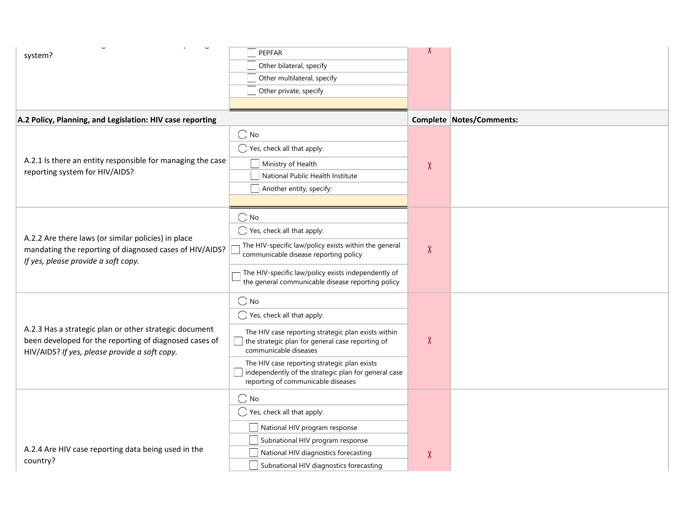| system?                                                                                                                                                           | PEPFAR                                                                                                                                          |                   |                          |
|-------------------------------------------------------------------------------------------------------------------------------------------------------------------|-------------------------------------------------------------------------------------------------------------------------------------------------|-------------------|--------------------------|
|                                                                                                                                                                   | Other bilateral, specify                                                                                                                        |                   |                          |
|                                                                                                                                                                   | Other multilateral, specify                                                                                                                     |                   |                          |
|                                                                                                                                                                   | Other private, specify                                                                                                                          |                   |                          |
|                                                                                                                                                                   |                                                                                                                                                 |                   |                          |
| A.2 Policy, Planning, and Legislation: HIV case reporting                                                                                                         |                                                                                                                                                 |                   | Complete Notes/Comments: |
|                                                                                                                                                                   | $\bigcirc$ No                                                                                                                                   |                   |                          |
|                                                                                                                                                                   | $\bigcirc$ Yes, check all that apply:                                                                                                           |                   |                          |
| A.2.1 Is there an entity responsible for managing the case                                                                                                        | Ministry of Health                                                                                                                              | X                 |                          |
| reporting system for HIV/AIDS?                                                                                                                                    | National Public Health Institute                                                                                                                |                   |                          |
|                                                                                                                                                                   | Another entity, specify:                                                                                                                        |                   |                          |
|                                                                                                                                                                   |                                                                                                                                                 |                   |                          |
|                                                                                                                                                                   | $\bigcirc$ No                                                                                                                                   |                   |                          |
|                                                                                                                                                                   | $\bigcirc$ Yes, check all that apply:                                                                                                           |                   |                          |
| A.2.2 Are there laws (or similar policies) in place<br>mandating the reporting of diagnosed cases of HIV/AIDS?<br>If yes, please provide a soft copy.             | The HIV-specific law/policy exists within the general<br>communicable disease reporting policy                                                  | $\overline{\chi}$ |                          |
|                                                                                                                                                                   | The HIV-specific law/policy exists independently of<br>the general communicable disease reporting policy                                        |                   |                          |
|                                                                                                                                                                   | $\bigcirc$ No                                                                                                                                   |                   |                          |
|                                                                                                                                                                   | $\bigcirc$ Yes, check all that apply:                                                                                                           |                   |                          |
| A.2.3 Has a strategic plan or other strategic document<br>been developed for the reporting of diagnosed cases of<br>HIV/AIDS? If yes, please provide a soft copy. | The HIV case reporting strategic plan exists within<br>$\blacksquare$ the strategic plan for general case reporting of<br>communicable diseases | $\chi$            |                          |
|                                                                                                                                                                   | The HIV case reporting strategic plan exists<br>independently of the strategic plan for general case<br>reporting of communicable diseases      |                   |                          |
|                                                                                                                                                                   | $\bigcirc$ No                                                                                                                                   |                   |                          |
|                                                                                                                                                                   | $\bigcirc$ Yes, check all that apply:                                                                                                           |                   |                          |
|                                                                                                                                                                   | National HIV program response                                                                                                                   |                   |                          |
|                                                                                                                                                                   | Subnational HIV program response                                                                                                                |                   |                          |
| A.2.4 Are HIV case reporting data being used in the                                                                                                               | National HIV diagnostics forecasting                                                                                                            | X                 |                          |
| country?                                                                                                                                                          | Subnational HIV diagnostics forecasting                                                                                                         |                   |                          |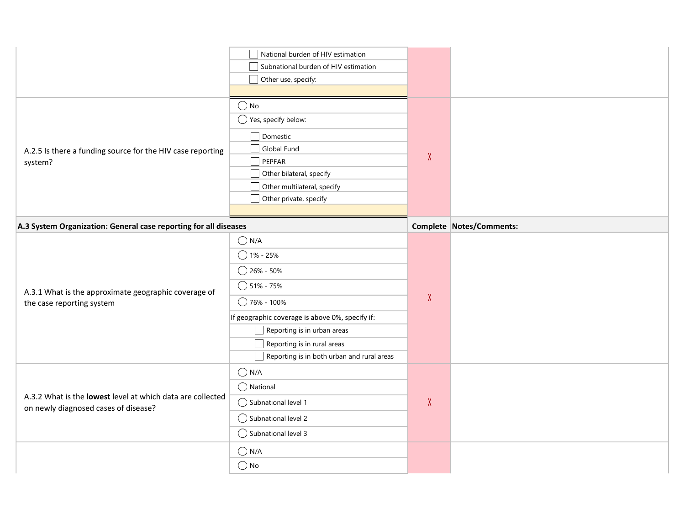|                                                                                   | National burden of HIV estimation                                         |        |                          |
|-----------------------------------------------------------------------------------|---------------------------------------------------------------------------|--------|--------------------------|
|                                                                                   | Subnational burden of HIV estimation                                      |        |                          |
|                                                                                   | Other use, specify:                                                       |        |                          |
|                                                                                   |                                                                           |        |                          |
|                                                                                   | $\bigcirc$ No                                                             |        |                          |
|                                                                                   | $\bigcirc$ Yes, specify below:                                            |        |                          |
|                                                                                   | Domestic                                                                  |        |                          |
| A.2.5 Is there a funding source for the HIV case reporting                        | Global Fund                                                               |        |                          |
| system?                                                                           | PEPFAR                                                                    | $\chi$ |                          |
|                                                                                   | Other bilateral, specify                                                  |        |                          |
|                                                                                   | Other multilateral, specify                                               |        |                          |
|                                                                                   | $\Box$ Other private, specify                                             |        |                          |
|                                                                                   |                                                                           |        |                          |
| A.3 System Organization: General case reporting for all diseases                  |                                                                           |        | Complete Notes/Comments: |
|                                                                                   | $\bigcirc$ N/A                                                            |        |                          |
|                                                                                   | $\bigcirc$ 1% - 25%                                                       |        |                          |
|                                                                                   | $\bigcirc$ 26% - 50%                                                      |        |                          |
|                                                                                   | $\bigcirc$ 51% - 75%                                                      |        |                          |
| A.3.1 What is the approximate geographic coverage of<br>the case reporting system | ◯ 76% - 100%                                                              | $\chi$ |                          |
|                                                                                   | If geographic coverage is above 0%, specify if:                           |        |                          |
|                                                                                   | $\Box$ Reporting is in urban areas                                        |        |                          |
|                                                                                   |                                                                           |        |                          |
|                                                                                   |                                                                           |        |                          |
|                                                                                   | Reporting is in rural areas<br>Reporting is in both urban and rural areas |        |                          |
|                                                                                   | $\bigcirc$ N/A                                                            |        |                          |
|                                                                                   | $\bigcirc$ National                                                       |        |                          |
| A.3.2 What is the lowest level at which data are collected                        | $\bigcirc$ Subnational level 1                                            | $\chi$ |                          |
| on newly diagnosed cases of disease?                                              | ◯ Subnational level 2                                                     |        |                          |
|                                                                                   | $\bigcirc$ Subnational level 3                                            |        |                          |
|                                                                                   | $\bigcirc$ N/A                                                            |        |                          |
|                                                                                   | $\bigcirc$ No                                                             |        |                          |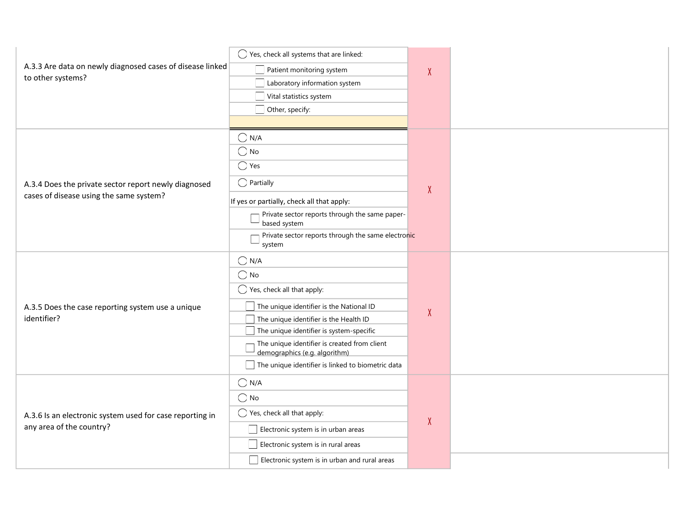| A.3.3 Are data on newly diagnosed cases of disease linked<br>to other systems? | ◯ Yes, check all systems that are linked:                                     |           |
|--------------------------------------------------------------------------------|-------------------------------------------------------------------------------|-----------|
|                                                                                | Patient monitoring system                                                     | $\lambda$ |
|                                                                                | Laboratory information system                                                 |           |
|                                                                                | Vital statistics system                                                       |           |
|                                                                                | Other, specify:                                                               |           |
|                                                                                |                                                                               |           |
|                                                                                | $\bigcirc$ N/A                                                                |           |
|                                                                                | $\bigcirc$ No                                                                 |           |
|                                                                                | $\bigcirc$ Yes                                                                |           |
| A.3.4 Does the private sector report newly diagnosed                           | $\bigcirc$ Partially                                                          | X         |
| cases of disease using the same system?                                        | If yes or partially, check all that apply:                                    |           |
|                                                                                | Private sector reports through the same paper-<br>based system                |           |
|                                                                                | Private sector reports through the same electronic<br>system                  |           |
|                                                                                | $\bigcirc$ N/A                                                                |           |
|                                                                                | $\bigcirc$ No                                                                 |           |
|                                                                                | $\bigcirc$ Yes, check all that apply:                                         |           |
| A.3.5 Does the case reporting system use a unique                              | The unique identifier is the National ID                                      | X         |
| identifier?                                                                    | $\Box$ The unique identifier is the Health ID                                 |           |
|                                                                                | $\Box$ The unique identifier is system-specific                               |           |
|                                                                                | The unique identifier is created from client<br>demographics (e.g. algorithm) |           |
|                                                                                | The unique identifier is linked to biometric data                             |           |
|                                                                                | $\bigcirc$ N/A                                                                |           |
|                                                                                | $\bigcirc$ No                                                                 |           |
| A.3.6 Is an electronic system used for case reporting in                       | $\bigcirc$ Yes, check all that apply:                                         | X         |
| any area of the country?                                                       | $\Box$ Electronic system is in urban areas                                    |           |
|                                                                                | Electronic system is in rural areas                                           |           |
|                                                                                | $\Box$ Electronic system is in urban and rural areas                          |           |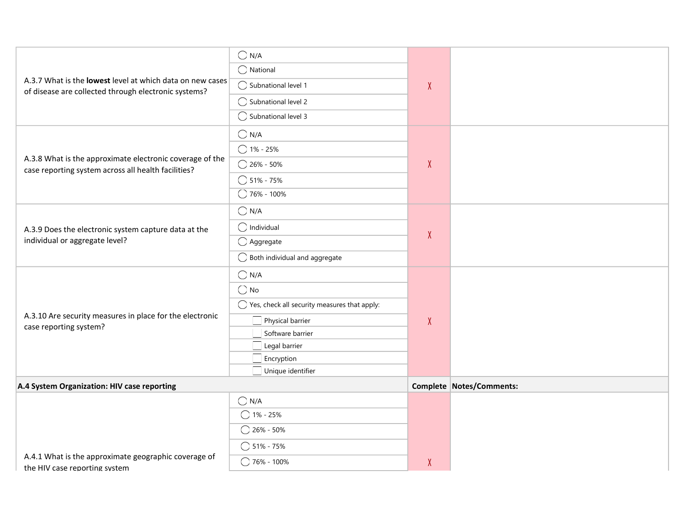|                                                                                       | $\bigcirc$ N/A                                          |              |                          |
|---------------------------------------------------------------------------------------|---------------------------------------------------------|--------------|--------------------------|
|                                                                                       | $\bigcirc$ National                                     |              |                          |
| A.3.7 What is the lowest level at which data on new cases                             | ◯ Subnational level 1                                   | $\chi$       |                          |
| of disease are collected through electronic systems?                                  | ◯ Subnational level 2                                   |              |                          |
|                                                                                       | $\bigcirc$ Subnational level 3                          |              |                          |
|                                                                                       | $\bigcirc$ N/A                                          |              |                          |
|                                                                                       | $\bigcirc$ 1% - 25%                                     |              |                          |
| A.3.8 What is the approximate electronic coverage of the                              | $\bigcirc$ 26% - 50%                                    | $\pmb{\chi}$ |                          |
| case reporting system across all health facilities?                                   | $\bigcirc$ 51% - 75%                                    |              |                          |
|                                                                                       | $O$ 76% - 100%                                          |              |                          |
|                                                                                       | $\bigcirc$ N/A                                          |              |                          |
| A.3.9 Does the electronic system capture data at the                                  | $\bigcirc$ Individual                                   |              |                          |
| individual or aggregate level?                                                        | $\bigcirc$ Aggregate                                    | $\chi$       |                          |
|                                                                                       | $\bigcirc$ Both individual and aggregate                |              |                          |
|                                                                                       | $\bigcirc$ N/A                                          |              |                          |
|                                                                                       | $\bigcirc$ No                                           |              |                          |
|                                                                                       | $\bigcirc$ Yes, check all security measures that apply: |              |                          |
| A.3.10 Are security measures in place for the electronic<br>case reporting system?    | Physical barrier                                        | $\pmb{\chi}$ |                          |
|                                                                                       | Software barrier                                        |              |                          |
|                                                                                       | Legal barrier<br>$\Box$ Encryption                      |              |                          |
|                                                                                       | Unique identifier                                       |              |                          |
| A.4 System Organization: HIV case reporting                                           |                                                         |              | Complete Notes/Comments: |
|                                                                                       | $\bigcirc$ N/A                                          |              |                          |
|                                                                                       | $\bigcirc$ 1% - 25%                                     |              |                          |
|                                                                                       | $\bigcirc$ 26% - 50%                                    |              |                          |
|                                                                                       | $\bigcirc$ 51% - 75%                                    |              |                          |
| A.4.1 What is the approximate geographic coverage of<br>the HIV case reporting system | $\bigcirc$ 76% - 100%                                   | $\mathsf{X}$ |                          |
|                                                                                       |                                                         |              |                          |
|                                                                                       |                                                         |              |                          |
|                                                                                       |                                                         |              |                          |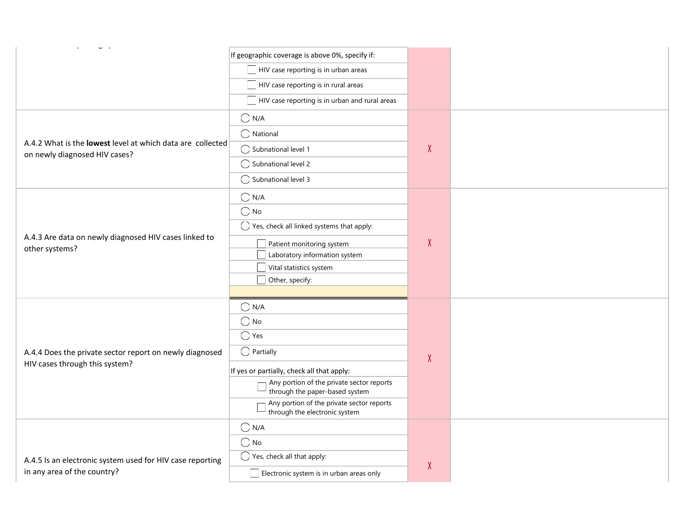| $\mathbf{u}$ - $\mathbf{r}$ - $\mathbf{r}$<br>$\sim 10^{-10}$ m $^{-1}$                     |                                                                             |        |
|---------------------------------------------------------------------------------------------|-----------------------------------------------------------------------------|--------|
|                                                                                             | If geographic coverage is above 0%, specify if:                             |        |
|                                                                                             | HIV case reporting is in urban areas                                        |        |
|                                                                                             | $\Box$ HIV case reporting is in rural areas                                 |        |
|                                                                                             | HIV case reporting is in urban and rural areas                              |        |
|                                                                                             | $\bigcirc$ N/A                                                              |        |
|                                                                                             | $\bigcap$ National                                                          |        |
| A.4.2 What is the lowest level at which data are collected<br>on newly diagnosed HIV cases? | ◯ Subnational level 1                                                       | $\chi$ |
|                                                                                             | ◯ Subnational level 2                                                       |        |
|                                                                                             | $\bigcirc$ Subnational level 3                                              |        |
|                                                                                             | $\bigcirc$ N/A                                                              |        |
|                                                                                             | $\bigcirc$ No                                                               |        |
|                                                                                             | $\bigcirc$ Yes, check all linked systems that apply:                        |        |
| A.4.3 Are data on newly diagnosed HIV cases linked to<br>other systems?                     | Patient monitoring system                                                   | $\chi$ |
|                                                                                             | Laboratory information system                                               |        |
|                                                                                             | Vital statistics system<br>Other, specify:                                  |        |
|                                                                                             |                                                                             |        |
|                                                                                             | $\bigcap N/A$                                                               |        |
|                                                                                             | $\bigcirc$ No                                                               |        |
|                                                                                             | $\bigcirc$ Yes                                                              |        |
| A.4.4 Does the private sector report on newly diagnosed                                     | $\bigcirc$ Partially                                                        | $\chi$ |
| HIV cases through this system?                                                              | If yes or partially, check all that apply:                                  |        |
|                                                                                             | Any portion of the private sector reports<br>through the paper-based system |        |
|                                                                                             | Any portion of the private sector reports<br>through the electronic system  |        |
|                                                                                             | $\bigcirc$ N/A                                                              |        |
|                                                                                             | $\bigcirc$ No                                                               |        |
| A.4.5 Is an electronic system used for HIV case reporting                                   | $\bigcirc$ Yes, check all that apply:                                       |        |
| in any area of the country?                                                                 | $\Box$ Electronic system is in urban areas only                             | $\chi$ |
|                                                                                             |                                                                             |        |